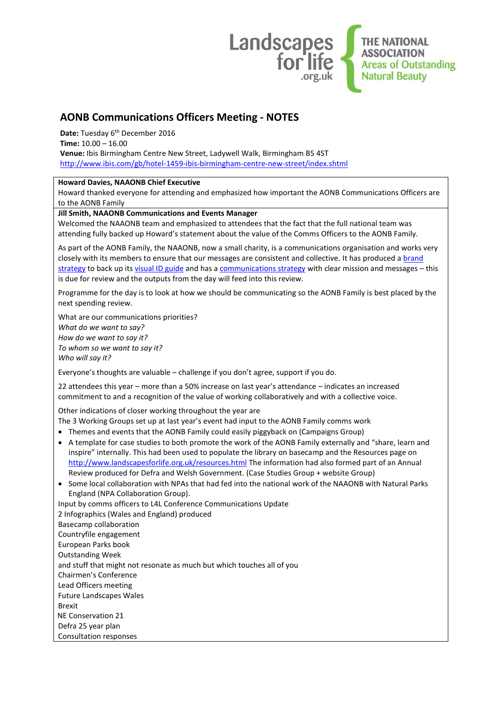

## **AONB Communications Officers Meeting - NOTES**

Date: Tuesday 6<sup>th</sup> December 2016

**Time:** 10.00 – 16.00

**Venue:** Ibis Birmingham Centre New Street, Ladywell Walk, Birmingham B5 4ST <http://www.ibis.com/gb/hotel-1459-ibis-birmingham-centre-new-street/index.shtml>

## **Howard Davies, NAAONB Chief Executive**

Howard thanked everyone for attending and emphasized how important the AONB Communications Officers are to the AONB Family

## **Jill Smith, NAAONB Communications and Events Manager**

Welcomed the NAAONB team and emphasized to attendees that the fact that the full national team was attending fully backed up Howard's statement about the value of the Comms Officers to the AONB Family.

As part of the AONB Family, the NAAONB, now a small charity, is a communications organisation and works very closely with its members to ensure that our messages are consistent and collective. It has produced a brand [strategy](http://www.landscapesforlife.org.uk/images/Charity-Brand-Strategy-FINAL.pdf) to back up it[s visual ID guide](https://naaonb.basecamphq.com/projects/13343600-library/files?page=2) and has [a communications strategy](http://www.landscapesforlife.org.uk/images/AONB-Family-Communications-Strategy-2014-19.pdf) with clear mission and messages - this is due for review and the outputs from the day will feed into this review.

Programme for the day is to look at how we should be communicating so the AONB Family is best placed by the next spending review.

What are our communications priorities? *What do we want to say? How do we want to say it? To whom so we want to say it? Who will say it?*

Everyone's thoughts are valuable – challenge if you don't agree, support if you do.

22 attendees this year – more than a 50% increase on last year's attendance – indicates an increased commitment to and a recognition of the value of working collaboratively and with a collective voice.

Other indications of closer working throughout the year are

- The 3 Working Groups set up at last year's event had input to the AONB Family comms work
- Themes and events that the AONB Family could easily piggyback on (Campaigns Group)
- A template for case studies to both promote the work of the AONB Family externally and "share, learn and inspire" internally. This had been used to populate the library on basecamp and the Resources page on <http://www.landscapesforlife.org.uk/resources.html> The information had also formed part of an Annual Review produced for Defra and Welsh Government. (Case Studies Group + website Group)
- Some local collaboration with NPAs that had fed into the national work of the NAAONB with Natural Parks England (NPA Collaboration Group).

Input by comms officers to L4L Conference Communications Update

2 Infographics (Wales and England) produced Basecamp collaboration Countryfile engagement European Parks book Outstanding Week and stuff that might not resonate as much but which touches all of you Chairmen's Conference Lead Officers meeting Future Landscapes Wales Brexit NE Conservation 21 Defra 25 year plan Consultation responses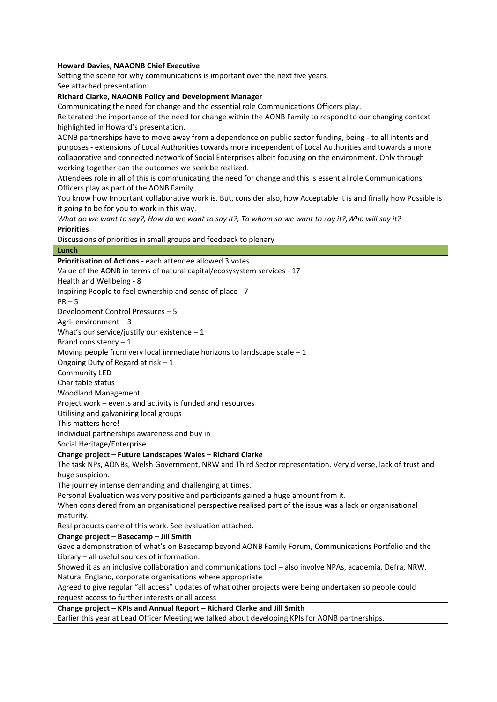| <b>Howard Davies, NAAONB Chief Executive</b>                                                                       |
|--------------------------------------------------------------------------------------------------------------------|
| Setting the scene for why communications is important over the next five years.                                    |
| See attached presentation                                                                                          |
| Richard Clarke, NAAONB Policy and Development Manager                                                              |
| Communicating the need for change and the essential role Communications Officers play.                             |
| Reiterated the importance of the need for change within the AONB Family to respond to our changing context         |
| highlighted in Howard's presentation.                                                                              |
| AONB partnerships have to move away from a dependence on public sector funding, being - to all intents and         |
| purposes - extensions of Local Authorities towards more independent of Local Authorities and towards a more        |
| collaborative and connected network of Social Enterprises albeit focusing on the environment. Only through         |
| working together can the outcomes we seek be realized.                                                             |
| Attendees role in all of this is communicating the need for change and this is essential role Communications       |
| Officers play as part of the AONB Family.                                                                          |
| You know how Important collaborative work is. But, consider also, how Acceptable it is and finally how Possible is |
| it going to be for you to work in this way.                                                                        |
| What do we want to say?, How do we want to say it?, To whom so we want to say it?, Who will say it?                |
| <b>Priorities</b>                                                                                                  |
| Discussions of priorities in small groups and feedback to plenary                                                  |
| Lunch                                                                                                              |
| Prioritisation of Actions - each attendee allowed 3 votes                                                          |
| Value of the AONB in terms of natural capital/ecosysystem services - 17                                            |
| Health and Wellbeing - 8                                                                                           |
| Inspiring People to feel ownership and sense of place - 7                                                          |
| $PR - 5$                                                                                                           |
| Development Control Pressures - 5                                                                                  |
| Agri-environment $-3$                                                                                              |
| What's our service/justify our existence $-1$                                                                      |
| Brand consistency $-1$                                                                                             |
| Moving people from very local immediate horizons to landscape scale $-1$                                           |
| Ongoing Duty of Regard at risk - 1                                                                                 |
| Community LED                                                                                                      |
| Charitable status                                                                                                  |
| <b>Woodland Management</b>                                                                                         |
| Project work - events and activity is funded and resources                                                         |
| Utilising and galvanizing local groups                                                                             |
| This matters here!                                                                                                 |
| Individual partnerships awareness and buy in                                                                       |
| Social Heritage/Enterprise                                                                                         |
| Change project - Future Landscapes Wales - Richard Clarke                                                          |
| The task NPs, AONBs, Welsh Government, NRW and Third Sector representation. Very diverse, lack of trust and        |
| huge suspicion.                                                                                                    |
| The journey intense demanding and challenging at times.                                                            |
| Personal Evaluation was very positive and participants gained a huge amount from it.                               |
| When considered from an organisational perspective realised part of the issue was a lack or organisational         |
| maturity.                                                                                                          |
| Real products came of this work. See evaluation attached.                                                          |
| Change project - Basecamp - Jill Smith                                                                             |
| Gave a demonstration of what's on Basecamp beyond AONB Family Forum, Communications Portfolio and the              |
| Library - all useful sources of information.                                                                       |
| Showed it as an inclusive collaboration and communications tool - also involve NPAs, academia, Defra, NRW,         |
| Natural England, corporate organisations where appropriate                                                         |
| Agreed to give regular "all access" updates of what other projects were being undertaken so people could           |
| request access to further interests or all access                                                                  |
| Change project - KPIs and Annual Report - Richard Clarke and Jill Smith                                            |
| Earlier this year at Lead Officer Meeting we talked about developing KPIs for AONB partnerships.                   |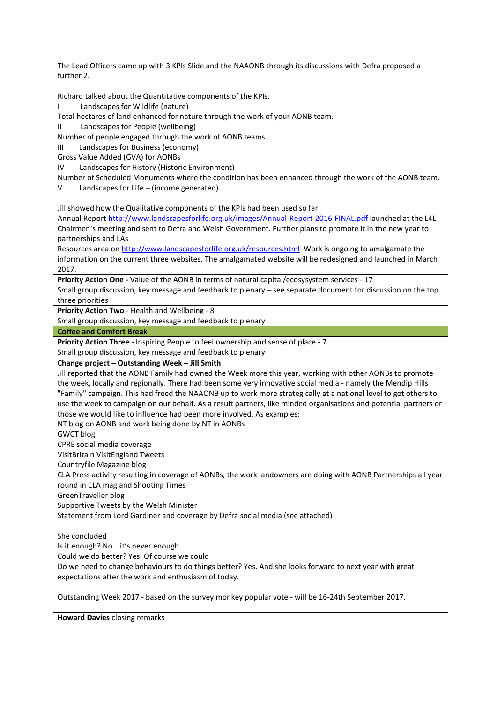The Lead Officers came up with 3 KPIs Slide and the NAAONB through its discussions with Defra proposed a further 2. Richard talked about the Quantitative components of the KPIs. Landscapes for Wildlife (nature) Total hectares of land enhanced for nature through the work of your AONB team. II Landscapes for People (wellbeing) Number of people engaged through the work of AONB teams. III Landscapes for Business (economy) Gross Value Added (GVA) for AONBs IV Landscapes for History (Historic Environment) Number of Scheduled Monuments where the condition has been enhanced through the work of the AONB team. V Landscapes for Life – (income generated) Jill showed how the Qualitative components of the KPIs had been used so far Annual Report <http://www.landscapesforlife.org.uk/images/Annual-Report-2016-FINAL.pdf> launched at the L4L Chairmen's meeting and sent to Defra and Welsh Government. Further plans to promote it in the new year to partnerships and LAs Resources area on <http://www.landscapesforlife.org.uk/resources.html> Work is ongoing to amalgamate the information on the current three websites. The amalgamated website will be redesigned and launched in March 2017. **Priority Action One -** Value of the AONB in terms of natural capital/ecosysystem services - 17 Small group discussion, key message and feedback to plenary – see separate document for discussion on the top three priorities **Priority Action Two** - Health and Wellbeing - 8 Small group discussion, key message and feedback to plenary **Coffee and Comfort Break Priority Action Three** - Inspiring People to feel ownership and sense of place - 7 Small group discussion, key message and feedback to plenary **Change project – Outstanding Week – Jill Smith** Jill reported that the AONB Family had owned the Week more this year, working with other AONBs to promote the week, locally and regionally. There had been some very innovative social media - namely the Mendip Hills "Family" campaign. This had freed the NAAONB up to work more strategically at a national level to get others to use the week to campaign on our behalf. As a result partners, like minded organisations and potential partners or those we would like to influence had been more involved. As examples: NT blog on AONB and work being done by NT in AONBs GWCT blog CPRE social media coverage VisitBritain VisitEngland Tweets Countryfile Magazine blog CLA Press activity resulting in coverage of AONBs, the work landowners are doing with AONB Partnerships all year round in CLA mag and Shooting Times GreenTraveller blog Supportive Tweets by the Welsh Minister Statement from Lord Gardiner and coverage by Defra social media (see attached) She concluded Is it enough? No… it's never enough Could we do better? Yes. Of course we could Do we need to change behaviours to do things better? Yes. And she looks forward to next year with great expectations after the work and enthusiasm of today. Outstanding Week 2017 - based on the survey monkey popular vote - will be 16-24th September 2017.

**Howard Davies** closing remarks